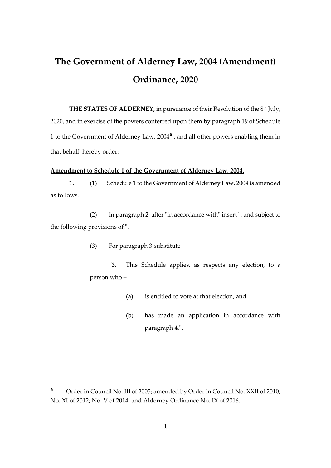## **The Government of Alderney Law, 2004 (Amendment) Ordinance, 2020**

**THE STATES OF ALDERNEY, in pursuance of their Resolution of the 8<sup>th</sup> July,** 2020, and in exercise of the powers conferred upon them by paragraph 19 of Schedule 1 to the Government of Alderney Law, 2004**<sup>a</sup>** , and all other powers enabling them in that behalf, hereby order:-

## **Amendment to Schedule 1 of the Government of Alderney Law, 2004.**

**1.** (1) Schedule 1 to the Government of Alderney Law, 2004 is amended as follows.

(2) In paragraph 2, after "in accordance with" insert ", and subject to the following provisions of,".

(3) For paragraph 3 substitute –

"**3.** This Schedule applies, as respects any election, to a person who –

- (a) is entitled to vote at that election, and
- (b) has made an application in accordance with paragraph 4.".

**<sup>a</sup>** Order in Council No. III of 2005; amended by Order in Council No. XXII of 2010; No. XI of 2012; No. V of 2014; and Alderney Ordinance No. IX of 2016.